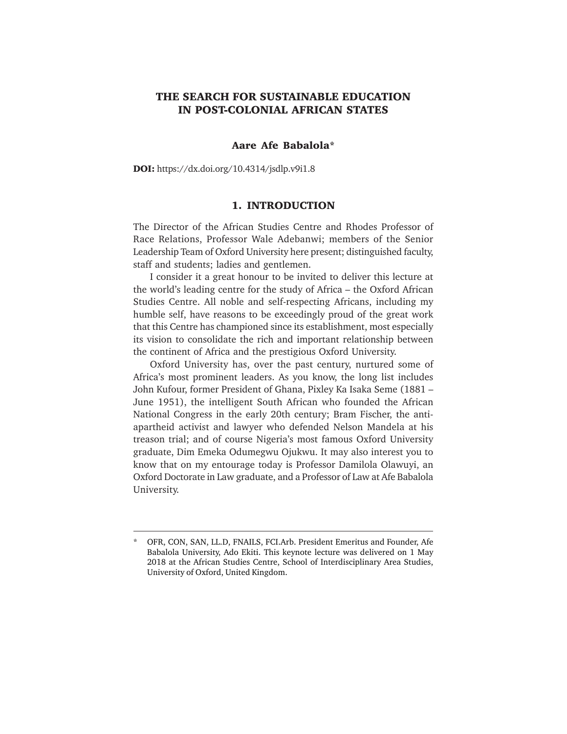# **THE SEARCH FOR SUSTAINABLE EDUCATION IN POST-COLONIAL AFRICAN STATES**

## **Aare Afe Babalola\***

**DOI:** https://dx.doi.org/10.4314/jsdlp.v9i1.8

## **1. INTRODUCTION**

The Director of the African Studies Centre and Rhodes Professor of Race Relations, Professor Wale Adebanwi; members of the Senior Leadership Team of Oxford University here present; distinguished faculty, staff and students; ladies and gentlemen.

I consider it a great honour to be invited to deliver this lecture at the world's leading centre for the study of Africa – the Oxford African Studies Centre. All noble and self-respecting Africans, including my humble self, have reasons to be exceedingly proud of the great work that this Centre has championed since its establishment, most especially its vision to consolidate the rich and important relationship between the continent of Africa and the prestigious Oxford University.

Oxford University has, over the past century, nurtured some of Africa's most prominent leaders. As you know, the long list includes John Kufour, former President of Ghana, Pixley Ka Isaka Seme (1881 – June 1951), the intelligent South African who founded the African National Congress in the early 20th century; Bram Fischer, the antiapartheid activist and lawyer who defended Nelson Mandela at his treason trial; and of course Nigeria's most famous Oxford University graduate, Dim Emeka Odumegwu Ojukwu. It may also interest you to know that on my entourage today is Professor Damilola Olawuyi, an Oxford Doctorate in Law graduate, and a Professor of Law at Afe Babalola University.

<sup>\*</sup> OFR, CON, SAN, LL.D, FNAILS, FCI.Arb. President Emeritus and Founder, Afe Babalola University, Ado Ekiti. This keynote lecture was delivered on 1 May 2018 at the African Studies Centre, School of Interdisciplinary Area Studies, University of Oxford, United Kingdom.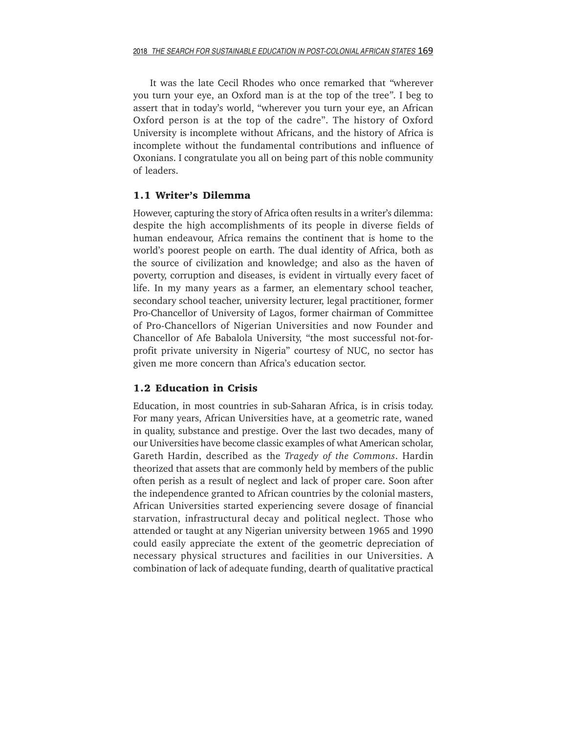It was the late Cecil Rhodes who once remarked that *"*wherever you turn your eye, an Oxford man is at the top of the tree*"*. I beg to assert that in today's world, "wherever you turn your eye, an African Oxford person is at the top of the cadre". The history of Oxford University is incomplete without Africans, and the history of Africa is incomplete without the fundamental contributions and influence of Oxonians. I congratulate you all on being part of this noble community of leaders.

# **1.1 Writer's Dilemma**

However, capturing the story of Africa often results in a writer's dilemma: despite the high accomplishments of its people in diverse fields of human endeavour, Africa remains the continent that is home to the world's poorest people on earth. The dual identity of Africa, both as the source of civilization and knowledge; and also as the haven of poverty, corruption and diseases, is evident in virtually every facet of life. In my many years as a farmer, an elementary school teacher, secondary school teacher, university lecturer, legal practitioner, former Pro-Chancellor of University of Lagos, former chairman of Committee of Pro-Chancellors of Nigerian Universities and now Founder and Chancellor of Afe Babalola University, "the most successful not-forprofit private university in Nigeria" courtesy of NUC, no sector has given me more concern than Africa's education sector.

# **1.2 Education in Crisis**

Education, in most countries in sub-Saharan Africa, is in crisis today. For many years, African Universities have, at a geometric rate, waned in quality, substance and prestige. Over the last two decades, many of our Universities have become classic examples of what American scholar, Gareth Hardin, described as the *Tragedy of the Commons*. Hardin theorized that assets that are commonly held by members of the public often perish as a result of neglect and lack of proper care. Soon after the independence granted to African countries by the colonial masters, African Universities started experiencing severe dosage of financial starvation, infrastructural decay and political neglect. Those who attended or taught at any Nigerian university between 1965 and 1990 could easily appreciate the extent of the geometric depreciation of necessary physical structures and facilities in our Universities. A combination of lack of adequate funding, dearth of qualitative practical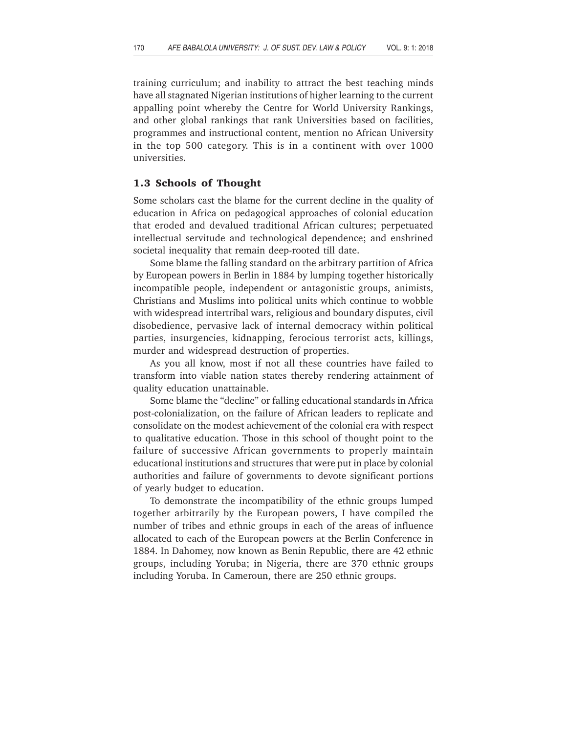training curriculum; and inability to attract the best teaching minds have all stagnated Nigerian institutions of higher learning to the current appalling point whereby the Centre for World University Rankings, and other global rankings that rank Universities based on facilities, programmes and instructional content, mention no African University in the top 500 category. This is in a continent with over 1000 universities.

### **1.3 Schools of Thought**

Some scholars cast the blame for the current decline in the quality of education in Africa on pedagogical approaches of colonial education that eroded and devalued traditional African cultures; perpetuated intellectual servitude and technological dependence; and enshrined societal inequality that remain deep-rooted till date.

Some blame the falling standard on the arbitrary partition of Africa by European powers in Berlin in 1884 by lumping together historically incompatible people, independent or antagonistic groups, animists, Christians and Muslims into political units which continue to wobble with widespread intertribal wars, religious and boundary disputes, civil disobedience, pervasive lack of internal democracy within political parties, insurgencies, kidnapping, ferocious terrorist acts, killings, murder and widespread destruction of properties.

As you all know, most if not all these countries have failed to transform into viable nation states thereby rendering attainment of quality education unattainable.

Some blame the "decline" or falling educational standards in Africa post-colonialization, on the failure of African leaders to replicate and consolidate on the modest achievement of the colonial era with respect to qualitative education. Those in this school of thought point to the failure of successive African governments to properly maintain educational institutions and structures that were put in place by colonial authorities and failure of governments to devote significant portions of yearly budget to education.

To demonstrate the incompatibility of the ethnic groups lumped together arbitrarily by the European powers, I have compiled the number of tribes and ethnic groups in each of the areas of influence allocated to each of the European powers at the Berlin Conference in 1884. In Dahomey, now known as Benin Republic, there are 42 ethnic groups, including Yoruba; in Nigeria, there are 370 ethnic groups including Yoruba. In Cameroun, there are 250 ethnic groups.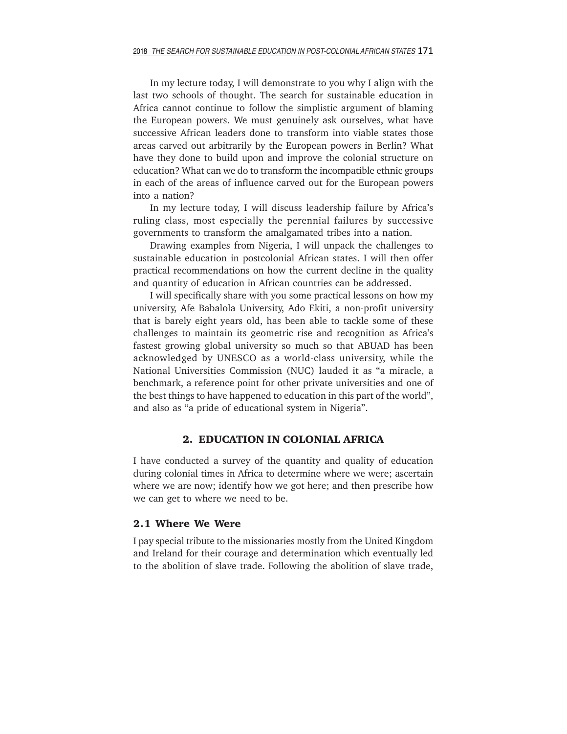In my lecture today, I will demonstrate to you why I align with the last two schools of thought. The search for sustainable education in Africa cannot continue to follow the simplistic argument of blaming the European powers. We must genuinely ask ourselves, what have successive African leaders done to transform into viable states those areas carved out arbitrarily by the European powers in Berlin? What have they done to build upon and improve the colonial structure on education? What can we do to transform the incompatible ethnic groups in each of the areas of influence carved out for the European powers into a nation?

In my lecture today, I will discuss leadership failure by Africa's ruling class, most especially the perennial failures by successive governments to transform the amalgamated tribes into a nation.

Drawing examples from Nigeria, I will unpack the challenges to sustainable education in postcolonial African states. I will then offer practical recommendations on how the current decline in the quality and quantity of education in African countries can be addressed.

I will specifically share with you some practical lessons on how my university, Afe Babalola University, Ado Ekiti, a non-profit university that is barely eight years old, has been able to tackle some of these challenges to maintain its geometric rise and recognition as Africa's fastest growing global university so much so that ABUAD has been acknowledged by UNESCO as a world-class university, while the National Universities Commission (NUC) lauded it as "a miracle, a benchmark, a reference point for other private universities and one of the best things to have happened to education in this part of the world", and also as "a pride of educational system in Nigeria".

# **2. EDUCATION IN COLONIAL AFRICA**

I have conducted a survey of the quantity and quality of education during colonial times in Africa to determine where we were; ascertain where we are now; identify how we got here; and then prescribe how we can get to where we need to be.

#### **2.1 Where We Were**

I pay special tribute to the missionaries mostly from the United Kingdom and Ireland for their courage and determination which eventually led to the abolition of slave trade. Following the abolition of slave trade,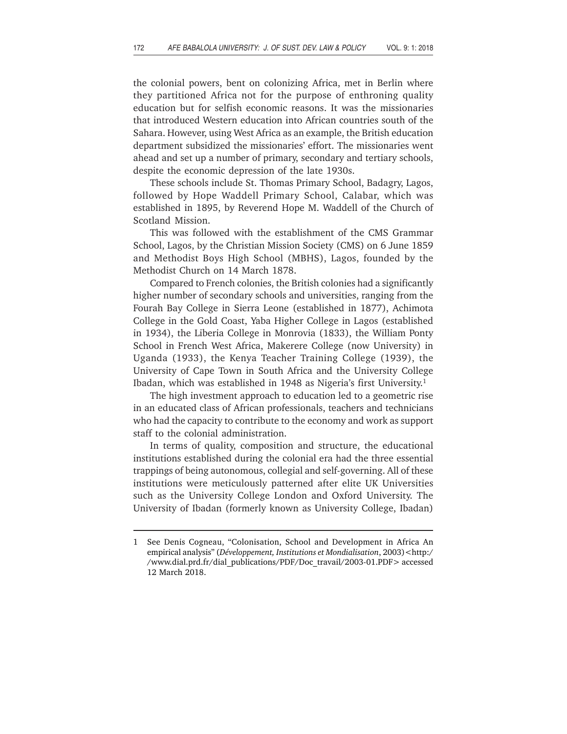the colonial powers, bent on colonizing Africa, met in Berlin where they partitioned Africa not for the purpose of enthroning quality education but for selfish economic reasons. It was the missionaries that introduced Western education into African countries south of the Sahara. However, using West Africa as an example, the British education department subsidized the missionaries' effort. The missionaries went ahead and set up a number of primary, secondary and tertiary schools, despite the economic depression of the late 1930s.

These schools include St. Thomas Primary School, Badagry, Lagos, followed by Hope Waddell Primary School, Calabar, which was established in 1895, by Reverend Hope M. Waddell of the Church of Scotland Mission.

This was followed with the establishment of the CMS Grammar School, Lagos, by the Christian Mission Society (CMS) on 6 June 1859 and Methodist Boys High School (MBHS), Lagos, founded by the Methodist Church on 14 March 1878.

Compared to French colonies, the British colonies had a significantly higher number of secondary schools and universities, ranging from the Fourah Bay College in Sierra Leone (established in 1877), Achimota College in the Gold Coast, Yaba Higher College in Lagos (established in 1934), the Liberia College in Monrovia (1833), the William Ponty School in French West Africa, Makerere College (now University) in Uganda (1933), the Kenya Teacher Training College (1939), the University of Cape Town in South Africa and the University College Ibadan, which was established in 1948 as Nigeria's first University.<sup>1</sup>

The high investment approach to education led to a geometric rise in an educated class of African professionals, teachers and technicians who had the capacity to contribute to the economy and work as support staff to the colonial administration.

In terms of quality, composition and structure, the educational institutions established during the colonial era had the three essential trappings of being autonomous, collegial and self-governing. All of these institutions were meticulously patterned after elite UK Universities such as the University College London and Oxford University. The University of Ibadan (formerly known as University College, Ibadan)

<sup>1</sup> See Denis Cogneau, "Colonisation, School and Development in Africa An empirical analysis" (*Développement, Institutions et Mondialisation*, 2003)<http:/ /www.dial.prd.fr/dial\_publications/PDF/Doc\_travail/2003-01.PDF> accessed 12 March 2018.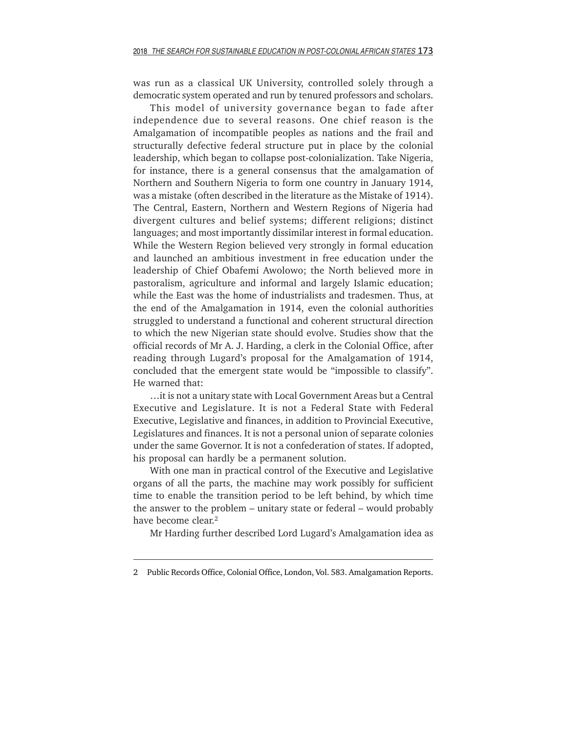was run as a classical UK University, controlled solely through a democratic system operated and run by tenured professors and scholars.

This model of university governance began to fade after independence due to several reasons. One chief reason is the Amalgamation of incompatible peoples as nations and the frail and structurally defective federal structure put in place by the colonial leadership, which began to collapse post-colonialization. Take Nigeria, for instance, there is a general consensus that the amalgamation of Northern and Southern Nigeria to form one country in January 1914, was a mistake (often described in the literature as the Mistake of 1914). The Central, Eastern, Northern and Western Regions of Nigeria had divergent cultures and belief systems; different religions; distinct languages; and most importantly dissimilar interest in formal education. While the Western Region believed very strongly in formal education and launched an ambitious investment in free education under the leadership of Chief Obafemi Awolowo; the North believed more in pastoralism, agriculture and informal and largely Islamic education; while the East was the home of industrialists and tradesmen. Thus, at the end of the Amalgamation in 1914, even the colonial authorities struggled to understand a functional and coherent structural direction to which the new Nigerian state should evolve. Studies show that the official records of Mr A. J. Harding, a clerk in the Colonial Office, after reading through Lugard's proposal for the Amalgamation of 1914, concluded that the emergent state would be "impossible to classify". He warned that:

…it is not a unitary state with Local Government Areas but a Central Executive and Legislature. It is not a Federal State with Federal Executive, Legislative and finances, in addition to Provincial Executive, Legislatures and finances. It is not a personal union of separate colonies under the same Governor. It is not a confederation of states. If adopted, his proposal can hardly be a permanent solution.

With one man in practical control of the Executive and Legislative organs of all the parts, the machine may work possibly for sufficient time to enable the transition period to be left behind, by which time the answer to the problem – unitary state or federal – would probably have become clear.<sup>2</sup>

Mr Harding further described Lord Lugard's Amalgamation idea as

<sup>2</sup> Public Records Office, Colonial Office, London, Vol. 583. Amalgamation Reports.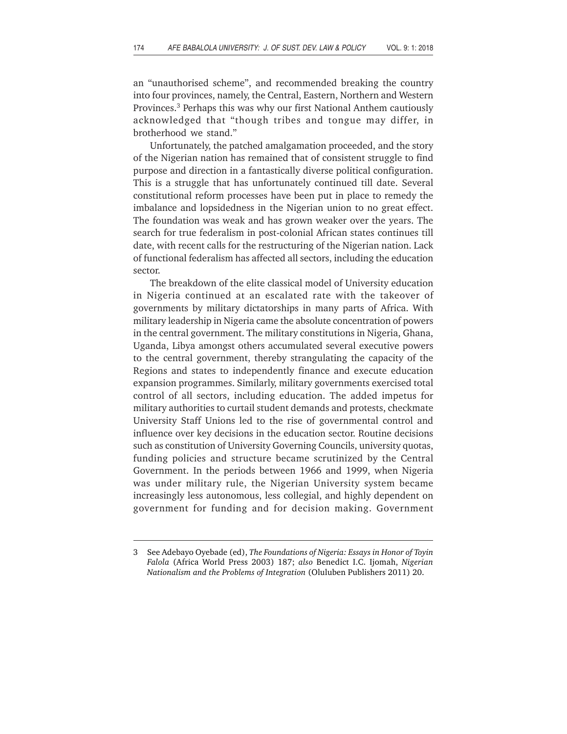an "unauthorised scheme", and recommended breaking the country into four provinces, namely, the Central, Eastern, Northern and Western Provinces.3 Perhaps this was why our first National Anthem cautiously acknowledged that "though tribes and tongue may differ, in brotherhood we stand."

Unfortunately, the patched amalgamation proceeded, and the story of the Nigerian nation has remained that of consistent struggle to find purpose and direction in a fantastically diverse political configuration. This is a struggle that has unfortunately continued till date. Several constitutional reform processes have been put in place to remedy the imbalance and lopsidedness in the Nigerian union to no great effect. The foundation was weak and has grown weaker over the years. The search for true federalism in post-colonial African states continues till date, with recent calls for the restructuring of the Nigerian nation. Lack of functional federalism has affected all sectors, including the education sector.

The breakdown of the elite classical model of University education in Nigeria continued at an escalated rate with the takeover of governments by military dictatorships in many parts of Africa. With military leadership in Nigeria came the absolute concentration of powers in the central government. The military constitutions in Nigeria, Ghana, Uganda, Libya amongst others accumulated several executive powers to the central government, thereby strangulating the capacity of the Regions and states to independently finance and execute education expansion programmes. Similarly, military governments exercised total control of all sectors, including education. The added impetus for military authorities to curtail student demands and protests, checkmate University Staff Unions led to the rise of governmental control and influence over key decisions in the education sector. Routine decisions such as constitution of University Governing Councils, university quotas, funding policies and structure became scrutinized by the Central Government. In the periods between 1966 and 1999, when Nigeria was under military rule, the Nigerian University system became increasingly less autonomous, less collegial, and highly dependent on government for funding and for decision making. Government

<sup>3</sup> See Adebayo Oyebade (ed), *The Foundations of Nigeria: Essays in Honor of Toyin Falola* (Africa World Press 2003) 187; *also* Benedict I.C. Ijomah, *Nigerian Nationalism and the Problems of Integration* (Oluluben Publishers 2011) 20.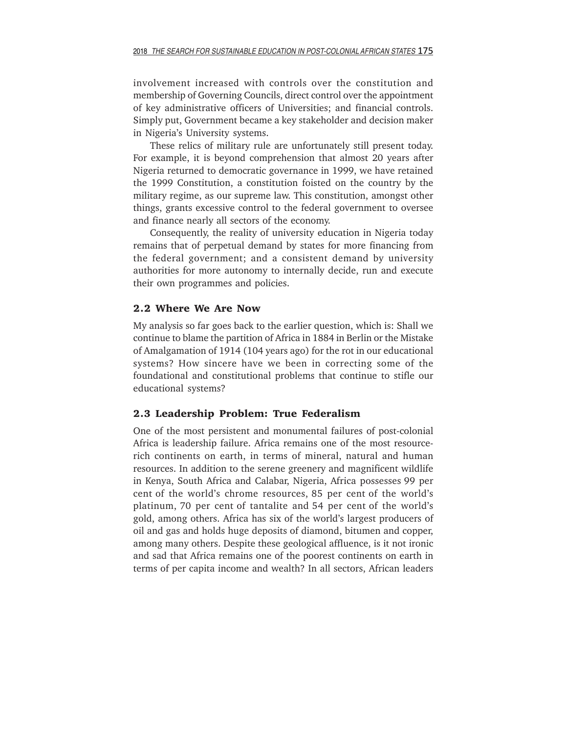involvement increased with controls over the constitution and membership of Governing Councils, direct control over the appointment of key administrative officers of Universities; and financial controls. Simply put, Government became a key stakeholder and decision maker in Nigeria's University systems.

These relics of military rule are unfortunately still present today. For example, it is beyond comprehension that almost 20 years after Nigeria returned to democratic governance in 1999, we have retained the 1999 Constitution, a constitution foisted on the country by the military regime, as our supreme law. This constitution, amongst other things, grants excessive control to the federal government to oversee and finance nearly all sectors of the economy.

Consequently, the reality of university education in Nigeria today remains that of perpetual demand by states for more financing from the federal government; and a consistent demand by university authorities for more autonomy to internally decide, run and execute their own programmes and policies.

#### **2.2 Where We Are Now**

My analysis so far goes back to the earlier question, which is: Shall we continue to blame the partition of Africa in 1884 in Berlin or the Mistake of Amalgamation of 1914 (104 years ago) for the rot in our educational systems? How sincere have we been in correcting some of the foundational and constitutional problems that continue to stifle our educational systems?

#### **2.3 Leadership Problem: True Federalism**

One of the most persistent and monumental failures of post-colonial Africa is leadership failure. Africa remains one of the most resourcerich continents on earth, in terms of mineral, natural and human resources. In addition to the serene greenery and magnificent wildlife in Kenya, South Africa and Calabar, Nigeria, Africa possesses 99 per cent of the world's chrome resources, 85 per cent of the world's platinum, 70 per cent of tantalite and 54 per cent of the world's gold, among others. Africa has six of the world's largest producers of oil and gas and holds huge deposits of diamond, bitumen and copper, among many others. Despite these geological affluence, is it not ironic and sad that Africa remains one of the poorest continents on earth in terms of per capita income and wealth? In all sectors, African leaders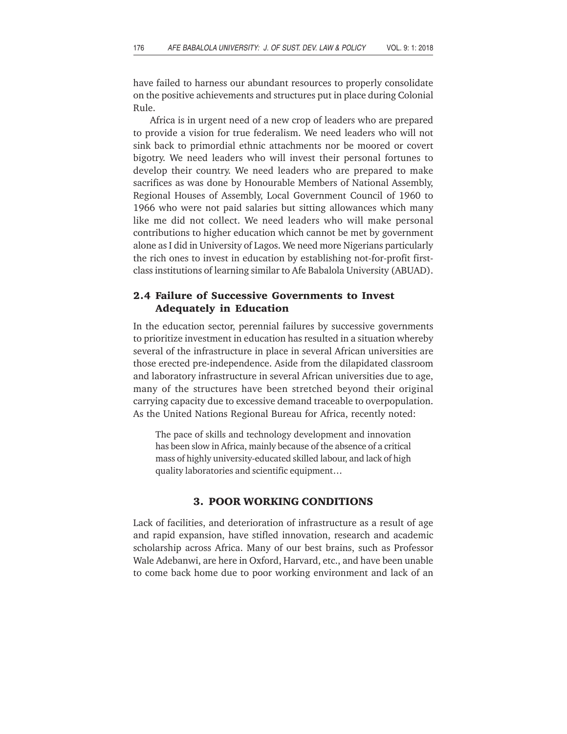have failed to harness our abundant resources to properly consolidate on the positive achievements and structures put in place during Colonial Rule.

Africa is in urgent need of a new crop of leaders who are prepared to provide a vision for true federalism. We need leaders who will not sink back to primordial ethnic attachments nor be moored or covert bigotry. We need leaders who will invest their personal fortunes to develop their country. We need leaders who are prepared to make sacrifices as was done by Honourable Members of National Assembly, Regional Houses of Assembly, Local Government Council of 1960 to 1966 who were not paid salaries but sitting allowances which many like me did not collect. We need leaders who will make personal contributions to higher education which cannot be met by government alone as I did in University of Lagos. We need more Nigerians particularly the rich ones to invest in education by establishing not-for-profit firstclass institutions of learning similar to Afe Babalola University (ABUAD).

# **2.4 Failure of Successive Governments to Invest Adequately in Education**

In the education sector, perennial failures by successive governments to prioritize investment in education has resulted in a situation whereby several of the infrastructure in place in several African universities are those erected pre-independence. Aside from the dilapidated classroom and laboratory infrastructure in several African universities due to age, many of the structures have been stretched beyond their original carrying capacity due to excessive demand traceable to overpopulation. As the United Nations Regional Bureau for Africa, recently noted:

The pace of skills and technology development and innovation has been slow in Africa, mainly because of the absence of a critical mass of highly university-educated skilled labour, and lack of high quality laboratories and scientific equipment…

### **3. POOR WORKING CONDITIONS**

Lack of facilities, and deterioration of infrastructure as a result of age and rapid expansion, have stifled innovation, research and academic scholarship across Africa. Many of our best brains, such as Professor Wale Adebanwi, are here in Oxford, Harvard, etc., and have been unable to come back home due to poor working environment and lack of an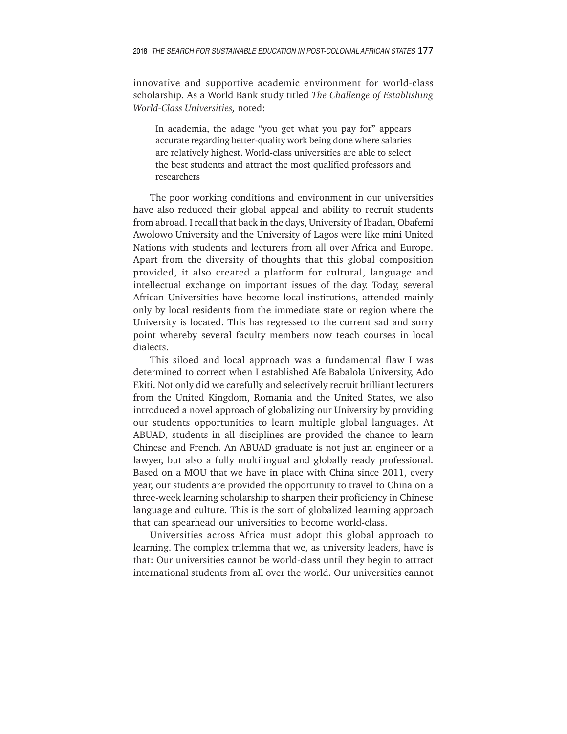innovative and supportive academic environment for world-class scholarship. As a World Bank study titled *The Challenge of Establishing World-Class Universities,* noted:

In academia, the adage "you get what you pay for" appears accurate regarding better-quality work being done where salaries are relatively highest. World-class universities are able to select the best students and attract the most qualified professors and researchers

The poor working conditions and environment in our universities have also reduced their global appeal and ability to recruit students from abroad. I recall that back in the days, University of Ibadan, Obafemi Awolowo University and the University of Lagos were like mini United Nations with students and lecturers from all over Africa and Europe. Apart from the diversity of thoughts that this global composition provided, it also created a platform for cultural, language and intellectual exchange on important issues of the day. Today, several African Universities have become local institutions, attended mainly only by local residents from the immediate state or region where the University is located. This has regressed to the current sad and sorry point whereby several faculty members now teach courses in local dialects.

This siloed and local approach was a fundamental flaw I was determined to correct when I established Afe Babalola University, Ado Ekiti. Not only did we carefully and selectively recruit brilliant lecturers from the United Kingdom, Romania and the United States, we also introduced a novel approach of globalizing our University by providing our students opportunities to learn multiple global languages. At ABUAD, students in all disciplines are provided the chance to learn Chinese and French. An ABUAD graduate is not just an engineer or a lawyer, but also a fully multilingual and globally ready professional. Based on a MOU that we have in place with China since 2011, every year, our students are provided the opportunity to travel to China on a three-week learning scholarship to sharpen their proficiency in Chinese language and culture. This is the sort of globalized learning approach that can spearhead our universities to become world-class.

Universities across Africa must adopt this global approach to learning. The complex trilemma that we, as university leaders, have is that: Our universities cannot be world-class until they begin to attract international students from all over the world. Our universities cannot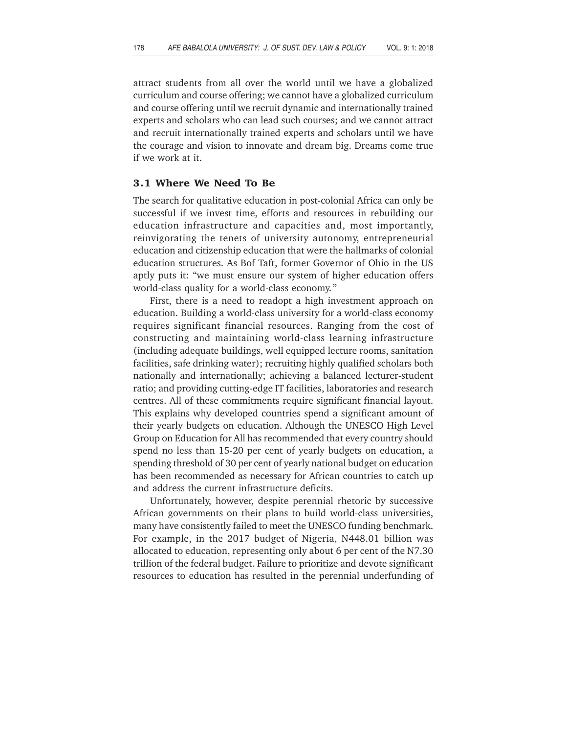attract students from all over the world until we have a globalized curriculum and course offering; we cannot have a globalized curriculum and course offering until we recruit dynamic and internationally trained experts and scholars who can lead such courses; and we cannot attract and recruit internationally trained experts and scholars until we have the courage and vision to innovate and dream big. Dreams come true if we work at it.

### **3.1 Where We Need To Be**

The search for qualitative education in post-colonial Africa can only be successful if we invest time, efforts and resources in rebuilding our education infrastructure and capacities and, most importantly, reinvigorating the tenets of university autonomy, entrepreneurial education and citizenship education that were the hallmarks of colonial education structures. As Bof Taft, former Governor of Ohio in the US aptly puts it: "we must ensure our system of higher education offers world-class quality for a world-class economy. "

First, there is a need to readopt a high investment approach on education. Building a world-class university for a world-class economy requires significant financial resources. Ranging from the cost of constructing and maintaining world-class learning infrastructure (including adequate buildings, well equipped lecture rooms, sanitation facilities, safe drinking water); recruiting highly qualified scholars both nationally and internationally; achieving a balanced lecturer-student ratio; and providing cutting-edge IT facilities, laboratories and research centres. All of these commitments require significant financial layout. This explains why developed countries spend a significant amount of their yearly budgets on education. Although the UNESCO High Level Group on Education for All has recommended that every country should spend no less than 15-20 per cent of yearly budgets on education, a spending threshold of 30 per cent of yearly national budget on education has been recommended as necessary for African countries to catch up and address the current infrastructure deficits.

Unfortunately, however, despite perennial rhetoric by successive African governments on their plans to build world-class universities, many have consistently failed to meet the UNESCO funding benchmark. For example, in the 2017 budget of Nigeria, N448.01 billion was allocated to education, representing only about 6 per cent of the N7.30 trillion of the federal budget. Failure to prioritize and devote significant resources to education has resulted in the perennial underfunding of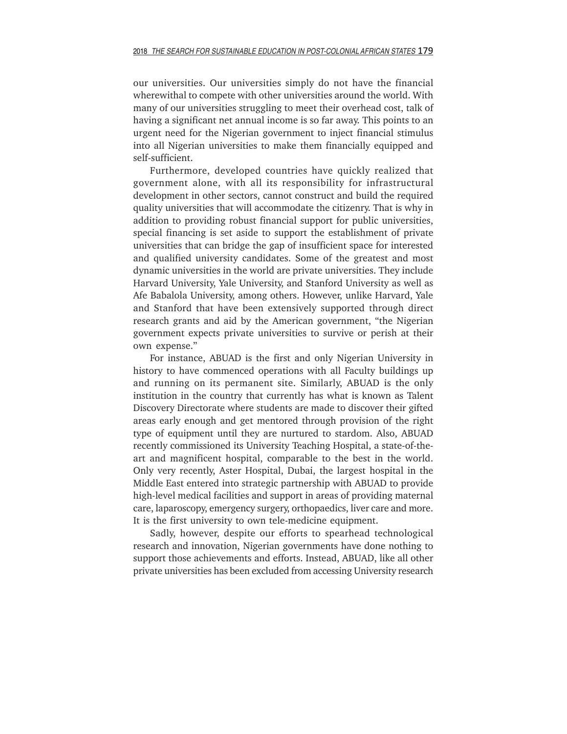our universities. Our universities simply do not have the financial wherewithal to compete with other universities around the world. With many of our universities struggling to meet their overhead cost, talk of having a significant net annual income is so far away. This points to an urgent need for the Nigerian government to inject financial stimulus into all Nigerian universities to make them financially equipped and self-sufficient.

Furthermore, developed countries have quickly realized that government alone, with all its responsibility for infrastructural development in other sectors, cannot construct and build the required quality universities that will accommodate the citizenry. That is why in addition to providing robust financial support for public universities, special financing is set aside to support the establishment of private universities that can bridge the gap of insufficient space for interested and qualified university candidates. Some of the greatest and most dynamic universities in the world are private universities. They include Harvard University, Yale University, and Stanford University as well as Afe Babalola University, among others. However, unlike Harvard, Yale and Stanford that have been extensively supported through direct research grants and aid by the American government, "the Nigerian government expects private universities to survive or perish at their own expense."

For instance, ABUAD is the first and only Nigerian University in history to have commenced operations with all Faculty buildings up and running on its permanent site. Similarly, ABUAD is the only institution in the country that currently has what is known as Talent Discovery Directorate where students are made to discover their gifted areas early enough and get mentored through provision of the right type of equipment until they are nurtured to stardom. Also, ABUAD recently commissioned its University Teaching Hospital, a state-of-theart and magnificent hospital, comparable to the best in the world. Only very recently, Aster Hospital, Dubai, the largest hospital in the Middle East entered into strategic partnership with ABUAD to provide high-level medical facilities and support in areas of providing maternal care, laparoscopy, emergency surgery, orthopaedics, liver care and more. It is the first university to own tele-medicine equipment.

Sadly, however, despite our efforts to spearhead technological research and innovation, Nigerian governments have done nothing to support those achievements and efforts. Instead, ABUAD, like all other private universities has been excluded from accessing University research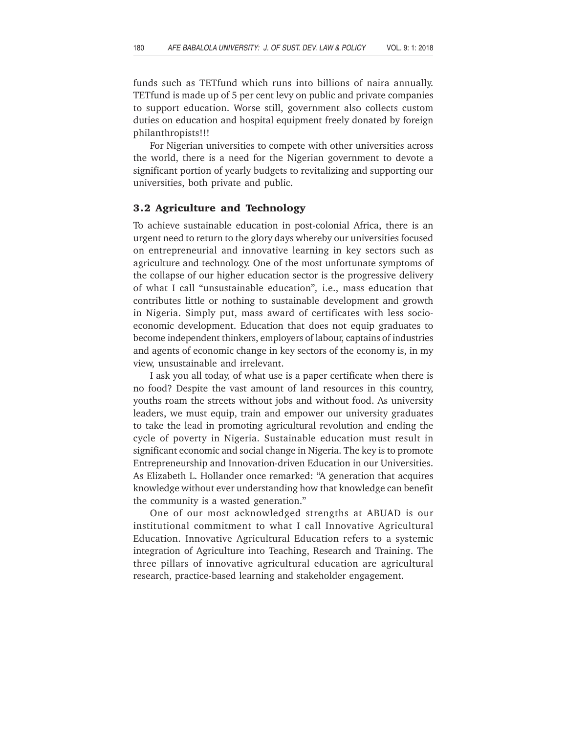funds such as TETfund which runs into billions of naira annually. TETfund is made up of 5 per cent levy on public and private companies to support education. Worse still, government also collects custom duties on education and hospital equipment freely donated by foreign philanthropists!!!

For Nigerian universities to compete with other universities across the world, there is a need for the Nigerian government to devote a significant portion of yearly budgets to revitalizing and supporting our universities, both private and public.

#### **3.2 Agriculture and Technology**

To achieve sustainable education in post-colonial Africa, there is an urgent need to return to the glory days whereby our universities focused on entrepreneurial and innovative learning in key sectors such as agriculture and technology. One of the most unfortunate symptoms of the collapse of our higher education sector is the progressive delivery of what I call "unsustainable education"*,* i.e., mass education that contributes little or nothing to sustainable development and growth in Nigeria. Simply put, mass award of certificates with less socioeconomic development. Education that does not equip graduates to become independent thinkers, employers of labour, captains of industries and agents of economic change in key sectors of the economy is, in my view, unsustainable and irrelevant.

I ask you all today, of what use is a paper certificate when there is no food? Despite the vast amount of land resources in this country, youths roam the streets without jobs and without food. As university leaders, we must equip, train and empower our university graduates to take the lead in promoting agricultural revolution and ending the cycle of poverty in Nigeria. Sustainable education must result in significant economic and social change in Nigeria. The key is to promote Entrepreneurship and Innovation-driven Education in our Universities. As Elizabeth L. Hollander once remarked: "A generation that acquires knowledge without ever understanding how that knowledge can benefit the community is a wasted generation."

One of our most acknowledged strengths at ABUAD is our institutional commitment to what I call Innovative Agricultural Education. Innovative Agricultural Education refers to a systemic integration of Agriculture into Teaching, Research and Training. The three pillars of innovative agricultural education are agricultural research, practice-based learning and stakeholder engagement.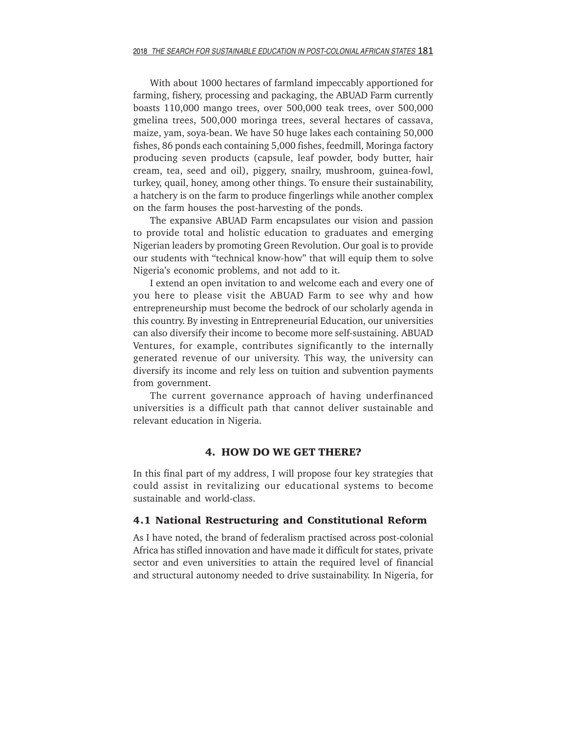With about 1000 hectares of farmland impeccably apportioned for farming, fishery, processing and packaging, the ABUAD Farm currently boasts 110,000 mango trees, over 500,000 teak trees, over 500,000 gmelina trees, 500,000 moringa trees, several hectares of cassava, maize, yam, soya-bean. We have 50 huge lakes each containing 50,000 fishes, 86 ponds each containing 5,000 fishes, feedmill, Moringa factory producing seven products (capsule, leaf powder, body butter, hair cream, tea, seed and oil), piggery, snailry, mushroom, guinea-fowl, turkey, quail, honey, among other things. To ensure their sustainability, a hatchery is on the farm to produce fingerlings while another complex on the farm houses the post-harvesting of the ponds.

The expansive ABUAD Farm encapsulates our vision and passion to provide total and holistic education to graduates and emerging Nigerian leaders by promoting Green Revolution. Our goal is to provide our students with "technical know-how" that will equip them to solve Nigeria's economic problems, and not add to it.

I extend an open invitation to and welcome each and every one of you here to please visit the ABUAD Farm to see why and how entrepreneurship must become the bedrock of our scholarly agenda in this country. By investing in Entrepreneurial Education, our universities can also diversify their income to become more self-sustaining. ABUAD Ventures, for example, contributes significantly to the internally generated revenue of our university. This way, the university can diversify its income and rely less on tuition and subvention payments from government.

The current governance approach of having underfinanced universities is a difficult path that cannot deliver sustainable and relevant education in Nigeria.

### **4. HOW DO WE GET THERE?**

In this final part of my address, I will propose four key strategies that could assist in revitalizing our educational systems to become sustainable and world-class.

#### **4.1 National Restructuring and Constitutional Reform**

As I have noted, the brand of federalism practised across post-colonial Africa has stifled innovation and have made it difficult for states, private sector and even universities to attain the required level of financial and structural autonomy needed to drive sustainability. In Nigeria, for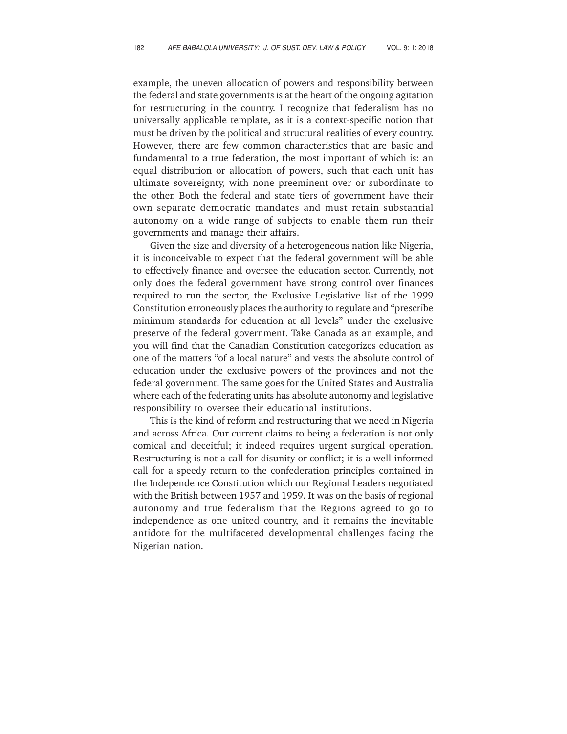example, the uneven allocation of powers and responsibility between the federal and state governments is at the heart of the ongoing agitation for restructuring in the country. I recognize that federalism has no universally applicable template, as it is a context-specific notion that must be driven by the political and structural realities of every country. However, there are few common characteristics that are basic and fundamental to a true federation, the most important of which is: an equal distribution or allocation of powers, such that each unit has ultimate sovereignty, with none preeminent over or subordinate to the other. Both the federal and state tiers of government have their own separate democratic mandates and must retain substantial autonomy on a wide range of subjects to enable them run their governments and manage their affairs.

Given the size and diversity of a heterogeneous nation like Nigeria, it is inconceivable to expect that the federal government will be able to effectively finance and oversee the education sector. Currently, not only does the federal government have strong control over finances required to run the sector, the Exclusive Legislative list of the 1999 Constitution erroneously places the authority to regulate and "prescribe minimum standards for education at all levels" under the exclusive preserve of the federal government. Take Canada as an example, and you will find that the Canadian Constitution categorizes education as one of the matters "of a local nature" and vests the absolute control of education under the exclusive powers of the provinces and not the federal government. The same goes for the United States and Australia where each of the federating units has absolute autonomy and legislative responsibility to oversee their educational institutions.

This is the kind of reform and restructuring that we need in Nigeria and across Africa. Our current claims to being a federation is not only comical and deceitful; it indeed requires urgent surgical operation. Restructuring is not a call for disunity or conflict; it is a well-informed call for a speedy return to the confederation principles contained in the Independence Constitution which our Regional Leaders negotiated with the British between 1957 and 1959. It was on the basis of regional autonomy and true federalism that the Regions agreed to go to independence as one united country, and it remains the inevitable antidote for the multifaceted developmental challenges facing the Nigerian nation.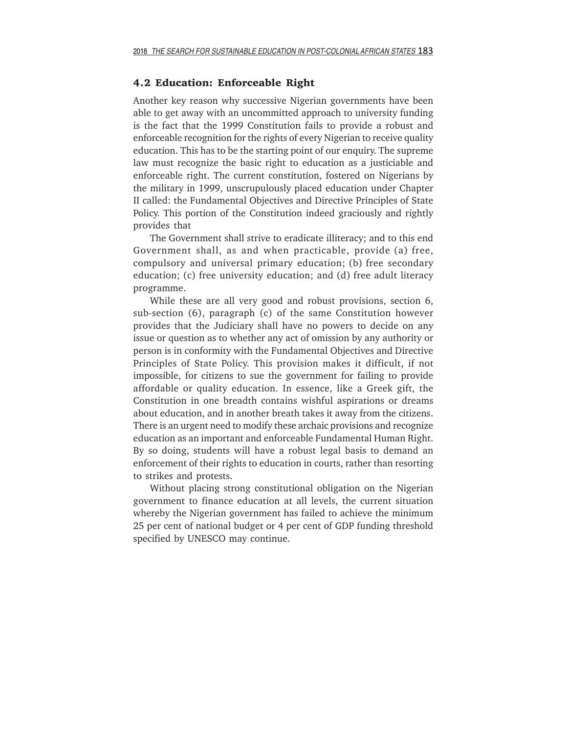## **4.2 Education: Enforceable Right**

Another key reason why successive Nigerian governments have been able to get away with an uncommitted approach to university funding is the fact that the 1999 Constitution fails to provide a robust and enforceable recognition for the rights of every Nigerian to receive quality education. This has to be the starting point of our enquiry. The supreme law must recognize the basic right to education as a justiciable and enforceable right. The current constitution, fostered on Nigerians by the military in 1999, unscrupulously placed education under Chapter II called: the Fundamental Objectives and Directive Principles of State Policy. This portion of the Constitution indeed graciously and rightly provides that

The Government shall strive to eradicate illiteracy; and to this end Government shall, as and when practicable, provide (a) free, compulsory and universal primary education; (b) free secondary education; (c) free university education; and (d) free adult literacy programme.

While these are all very good and robust provisions, section 6, sub-section (6), paragraph (c) of the same Constitution however provides that the Judiciary shall have no powers to decide on any issue or question as to whether any act of omission by any authority or person is in conformity with the Fundamental Objectives and Directive Principles of State Policy. This provision makes it difficult, if not impossible, for citizens to sue the government for failing to provide affordable or quality education. In essence, like a Greek gift, the Constitution in one breadth contains wishful aspirations or dreams about education, and in another breath takes it away from the citizens. There is an urgent need to modify these archaic provisions and recognize education as an important and enforceable Fundamental Human Right. By so doing, students will have a robust legal basis to demand an enforcement of their rights to education in courts, rather than resorting to strikes and protests.

Without placing strong constitutional obligation on the Nigerian government to finance education at all levels, the current situation whereby the Nigerian government has failed to achieve the minimum 25 per cent of national budget or 4 per cent of GDP funding threshold specified by UNESCO may continue.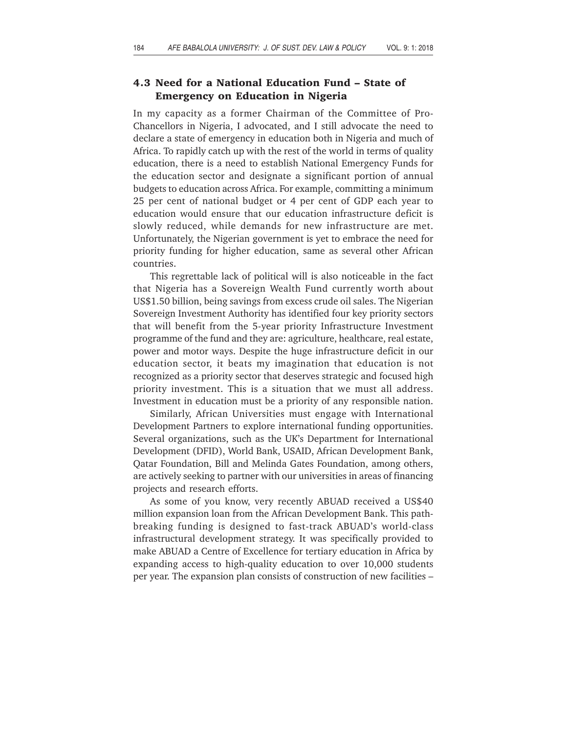# **4.3 Need for a National Education Fund – State of Emergency on Education in Nigeria**

In my capacity as a former Chairman of the Committee of Pro-Chancellors in Nigeria, I advocated, and I still advocate the need to declare a state of emergency in education both in Nigeria and much of Africa. To rapidly catch up with the rest of the world in terms of quality education, there is a need to establish National Emergency Funds for the education sector and designate a significant portion of annual budgets to education across Africa. For example, committing a minimum 25 per cent of national budget or 4 per cent of GDP each year to education would ensure that our education infrastructure deficit is slowly reduced, while demands for new infrastructure are met. Unfortunately, the Nigerian government is yet to embrace the need for priority funding for higher education, same as several other African countries.

This regrettable lack of political will is also noticeable in the fact that Nigeria has a Sovereign Wealth Fund currently worth about US\$1.50 billion, being savings from excess crude oil sales. The Nigerian Sovereign Investment Authority has identified four key priority sectors that will benefit from the 5-year priority Infrastructure Investment programme of the fund and they are: agriculture, healthcare, real estate, power and motor ways. Despite the huge infrastructure deficit in our education sector, it beats my imagination that education is not recognized as a priority sector that deserves strategic and focused high priority investment. This is a situation that we must all address. Investment in education must be a priority of any responsible nation.

Similarly, African Universities must engage with International Development Partners to explore international funding opportunities. Several organizations, such as the UK's Department for International Development (DFID), World Bank, USAID, African Development Bank, Qatar Foundation, Bill and Melinda Gates Foundation, among others, are actively seeking to partner with our universities in areas of financing projects and research efforts.

As some of you know, very recently ABUAD received a US\$40 million expansion loan from the African Development Bank. This pathbreaking funding is designed to fast-track ABUAD's world-class infrastructural development strategy. It was specifically provided to make ABUAD a Centre of Excellence for tertiary education in Africa by expanding access to high-quality education to over 10,000 students per year. The expansion plan consists of construction of new facilities –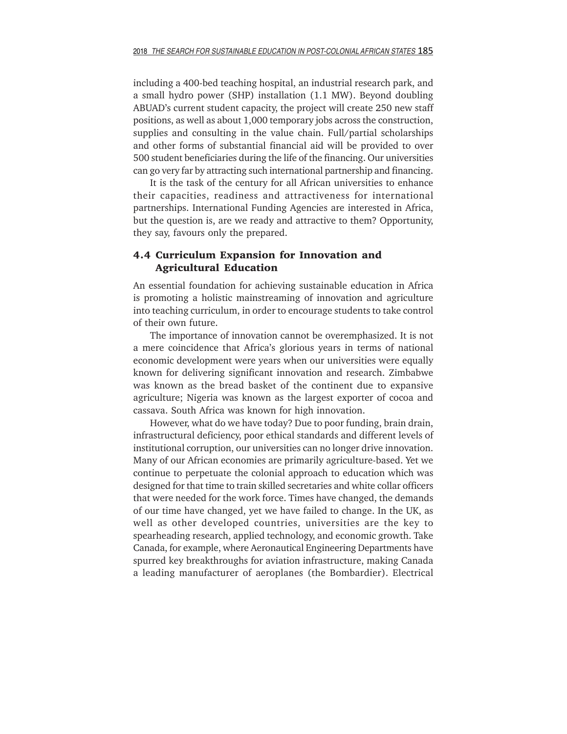including a 400-bed teaching hospital, an industrial research park, and a small hydro power (SHP) installation (1.1 MW). Beyond doubling ABUAD's current student capacity, the project will create 250 new staff positions, as well as about 1,000 temporary jobs across the construction, supplies and consulting in the value chain. Full/partial scholarships and other forms of substantial financial aid will be provided to over 500 student beneficiaries during the life of the financing. Our universities can go very far by attracting such international partnership and financing.

It is the task of the century for all African universities to enhance their capacities, readiness and attractiveness for international partnerships. International Funding Agencies are interested in Africa, but the question is, are we ready and attractive to them? Opportunity, they say, favours only the prepared.

# **4.4 Curriculum Expansion for Innovation and Agricultural Education**

An essential foundation for achieving sustainable education in Africa is promoting a holistic mainstreaming of innovation and agriculture into teaching curriculum, in order to encourage students to take control of their own future.

The importance of innovation cannot be overemphasized. It is not a mere coincidence that Africa's glorious years in terms of national economic development were years when our universities were equally known for delivering significant innovation and research. Zimbabwe was known as the bread basket of the continent due to expansive agriculture; Nigeria was known as the largest exporter of cocoa and cassava. South Africa was known for high innovation.

However, what do we have today? Due to poor funding, brain drain, infrastructural deficiency, poor ethical standards and different levels of institutional corruption, our universities can no longer drive innovation. Many of our African economies are primarily agriculture-based. Yet we continue to perpetuate the colonial approach to education which was designed for that time to train skilled secretaries and white collar officers that were needed for the work force. Times have changed, the demands of our time have changed, yet we have failed to change. In the UK, as well as other developed countries, universities are the key to spearheading research, applied technology, and economic growth. Take Canada, for example, where Aeronautical Engineering Departments have spurred key breakthroughs for aviation infrastructure, making Canada a leading manufacturer of aeroplanes (the Bombardier). Electrical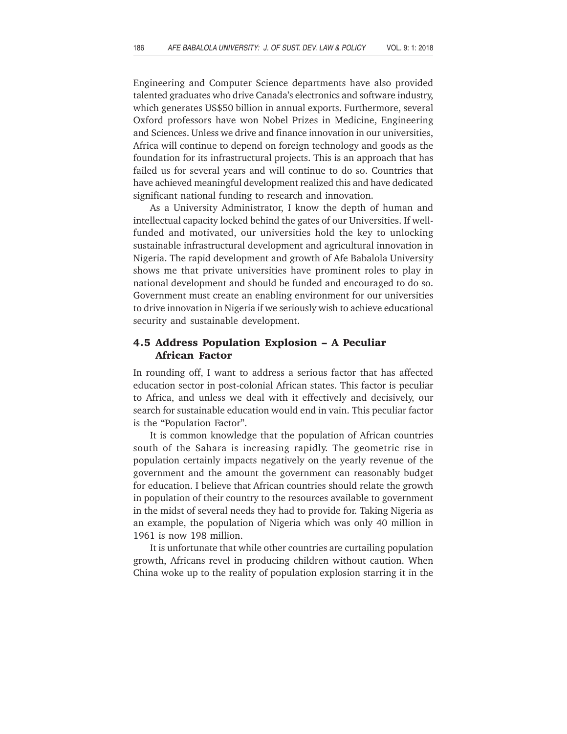Engineering and Computer Science departments have also provided talented graduates who drive Canada's electronics and software industry, which generates US\$50 billion in annual exports. Furthermore, several Oxford professors have won Nobel Prizes in Medicine, Engineering and Sciences. Unless we drive and finance innovation in our universities, Africa will continue to depend on foreign technology and goods as the foundation for its infrastructural projects. This is an approach that has failed us for several years and will continue to do so. Countries that have achieved meaningful development realized this and have dedicated significant national funding to research and innovation.

As a University Administrator, I know the depth of human and intellectual capacity locked behind the gates of our Universities. If wellfunded and motivated, our universities hold the key to unlocking sustainable infrastructural development and agricultural innovation in Nigeria. The rapid development and growth of Afe Babalola University shows me that private universities have prominent roles to play in national development and should be funded and encouraged to do so. Government must create an enabling environment for our universities to drive innovation in Nigeria if we seriously wish to achieve educational security and sustainable development.

# **4.5 Address Population Explosion – A Peculiar African Factor**

In rounding off, I want to address a serious factor that has affected education sector in post-colonial African states. This factor is peculiar to Africa, and unless we deal with it effectively and decisively, our search for sustainable education would end in vain. This peculiar factor is the "Population Factor".

It is common knowledge that the population of African countries south of the Sahara is increasing rapidly. The geometric rise in population certainly impacts negatively on the yearly revenue of the government and the amount the government can reasonably budget for education. I believe that African countries should relate the growth in population of their country to the resources available to government in the midst of several needs they had to provide for. Taking Nigeria as an example, the population of Nigeria which was only 40 million in 1961 is now 198 million.

It is unfortunate that while other countries are curtailing population growth, Africans revel in producing children without caution. When China woke up to the reality of population explosion starring it in the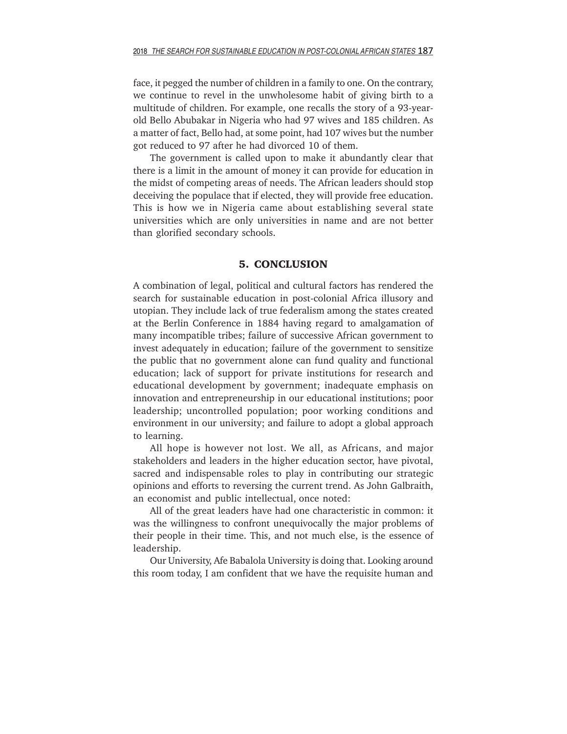face, it pegged the number of children in a family to one. On the contrary, we continue to revel in the unwholesome habit of giving birth to a multitude of children. For example, one recalls the story of a 93-yearold Bello Abubakar in Nigeria who had 97 wives and 185 children. As a matter of fact, Bello had, at some point, had 107 wives but the number got reduced to 97 after he had divorced 10 of them.

The government is called upon to make it abundantly clear that there is a limit in the amount of money it can provide for education in the midst of competing areas of needs. The African leaders should stop deceiving the populace that if elected, they will provide free education. This is how we in Nigeria came about establishing several state universities which are only universities in name and are not better than glorified secondary schools.

## **5. CONCLUSION**

A combination of legal, political and cultural factors has rendered the search for sustainable education in post-colonial Africa illusory and utopian. They include lack of true federalism among the states created at the Berlin Conference in 1884 having regard to amalgamation of many incompatible tribes; failure of successive African government to invest adequately in education; failure of the government to sensitize the public that no government alone can fund quality and functional education; lack of support for private institutions for research and educational development by government; inadequate emphasis on innovation and entrepreneurship in our educational institutions; poor leadership; uncontrolled population; poor working conditions and environment in our university; and failure to adopt a global approach to learning.

All hope is however not lost. We all, as Africans, and major stakeholders and leaders in the higher education sector, have pivotal, sacred and indispensable roles to play in contributing our strategic opinions and efforts to reversing the current trend. As John Galbraith, an economist and public intellectual, once noted:

All of the great leaders have had one characteristic in common: it was the willingness to confront unequivocally the major problems of their people in their time. This, and not much else, is the essence of leadership.

Our University, Afe Babalola University is doing that. Looking around this room today, I am confident that we have the requisite human and